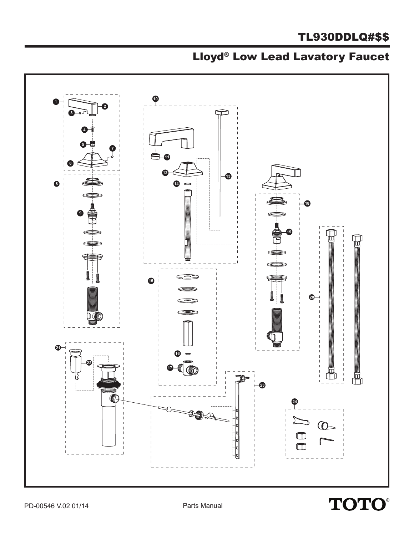## TL930DDLQ#\$\$

## Lloyd® Low Lead Lavatory Faucet



**TOTO®**